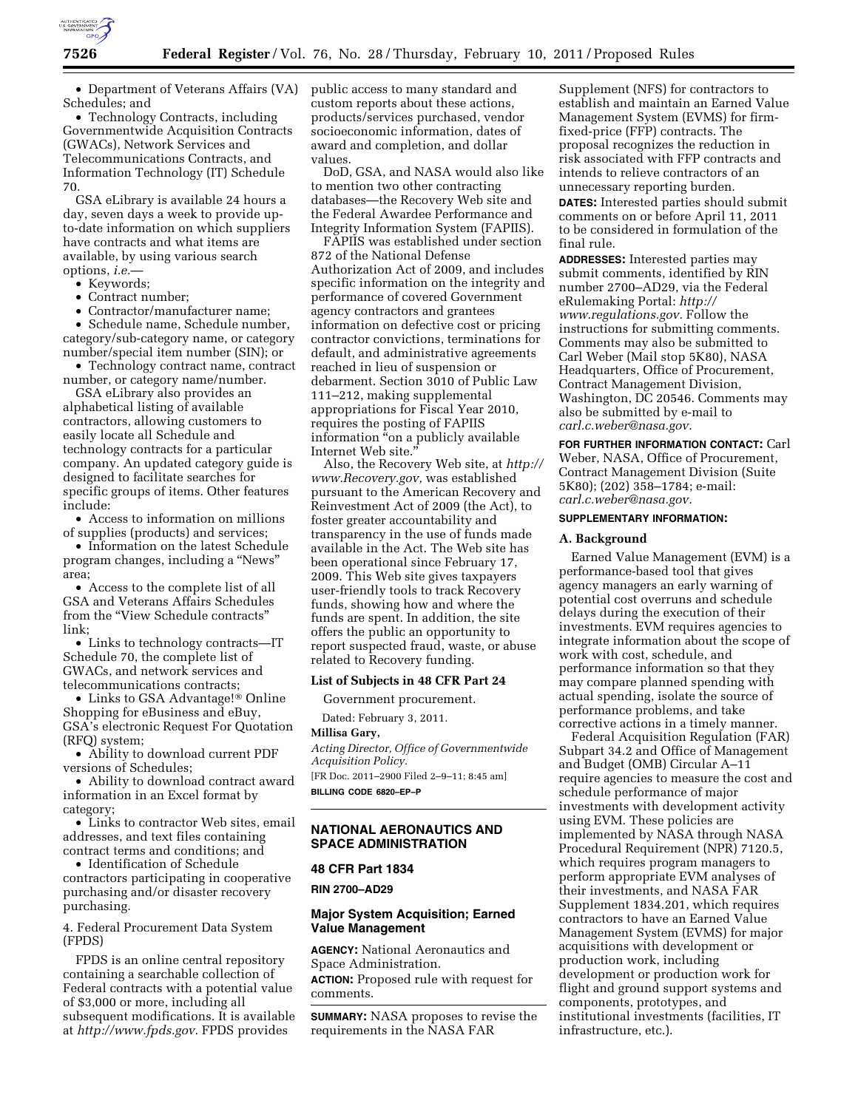

• Department of Veterans Affairs (VA) Schedules; and

• Technology Contracts, including Governmentwide Acquisition Contracts (GWACs), Network Services and Telecommunications Contracts, and Information Technology (IT) Schedule 70.

GSA eLibrary is available 24 hours a day, seven days a week to provide upto-date information on which suppliers have contracts and what items are available, by using various search options, *i.e.*—

• Keywords;

• Contract number;

• Contractor/manufacturer name;

• Schedule name, Schedule number, category/sub-category name, or category number/special item number (SIN); or

• Technology contract name, contract number, or category name/number.

GSA eLibrary also provides an alphabetical listing of available contractors, allowing customers to easily locate all Schedule and technology contracts for a particular company. An updated category guide is designed to facilitate searches for specific groups of items. Other features include:

• Access to information on millions of supplies (products) and services;

• Information on the latest Schedule program changes, including a ''News'' area;

• Access to the complete list of all GSA and Veterans Affairs Schedules from the "View Schedule contracts" link;

• Links to technology contracts—IT Schedule 70, the complete list of GWACs, and network services and telecommunications contracts;

• Links to GSA Advantage!® Online Shopping for eBusiness and eBuy, GSA's electronic Request For Quotation (RFQ) system;

• Ability to download current PDF versions of Schedules;

• Ability to download contract award information in an Excel format by category;

• Links to contractor Web sites, email addresses, and text files containing contract terms and conditions; and

• Identification of Schedule contractors participating in cooperative purchasing and/or disaster recovery purchasing.

4. Federal Procurement Data System (FPDS)

FPDS is an online central repository containing a searchable collection of Federal contracts with a potential value of \$3,000 or more, including all subsequent modifications. It is available at *[http://www.fpds.gov.](http://www.fpds.gov)* FPDS provides

public access to many standard and custom reports about these actions, products/services purchased, vendor socioeconomic information, dates of award and completion, and dollar values.

DoD, GSA, and NASA would also like to mention two other contracting databases—the Recovery Web site and the Federal Awardee Performance and Integrity Information System (FAPIIS).

FAPIIS was established under section 872 of the National Defense Authorization Act of 2009, and includes specific information on the integrity and performance of covered Government agency contractors and grantees information on defective cost or pricing contractor convictions, terminations for default, and administrative agreements reached in lieu of suspension or debarment. Section 3010 of Public Law 111–212, making supplemental appropriations for Fiscal Year 2010, requires the posting of FAPIIS information "on a publicly available Internet Web site.''

Also, the Recovery Web site, at *[http://](http://www.Recovery.gov)  [www.Recovery.gov,](http://www.Recovery.gov)* was established pursuant to the American Recovery and Reinvestment Act of 2009 (the Act), to foster greater accountability and transparency in the use of funds made available in the Act. The Web site has been operational since February 17, 2009. This Web site gives taxpayers user-friendly tools to track Recovery funds, showing how and where the funds are spent. In addition, the site offers the public an opportunity to report suspected fraud, waste, or abuse related to Recovery funding.

#### **List of Subjects in 48 CFR Part 24**

Government procurement.

Dated: February 3, 2011.

**Millisa Gary,** 

*Acting Director, Office of Governmentwide Acquisition Policy.* 

[FR Doc. 2011–2900 Filed 2–9–11; 8:45 am] **BILLING CODE 6820–EP–P** 

## **NATIONAL AERONAUTICS AND SPACE ADMINISTRATION**

## **48 CFR Part 1834**

**RIN 2700–AD29** 

# **Major System Acquisition; Earned Value Management**

**AGENCY:** National Aeronautics and Space Administration.

**ACTION:** Proposed rule with request for comments.

**SUMMARY:** NASA proposes to revise the requirements in the NASA FAR

Supplement (NFS) for contractors to establish and maintain an Earned Value Management System (EVMS) for firmfixed-price (FFP) contracts. The proposal recognizes the reduction in risk associated with FFP contracts and intends to relieve contractors of an unnecessary reporting burden. **DATES:** Interested parties should submit comments on or before April 11, 2011 to be considered in formulation of the final rule.

**ADDRESSES:** Interested parties may submit comments, identified by RIN number 2700–AD29, via the Federal eRulemaking Portal: *[http://](http://www.regulations.gov) [www.regulations.gov.](http://www.regulations.gov)* Follow the instructions for submitting comments. Comments may also be submitted to Carl Weber (Mail stop 5K80), NASA Headquarters, Office of Procurement, Contract Management Division, Washington, DC 20546. Comments may also be submitted by e-mail to *[carl.c.weber@nasa.gov.](mailto:carl.c.weber@nasa.gov)* 

**FOR FURTHER INFORMATION CONTACT:** Carl Weber, NASA, Office of Procurement, Contract Management Division (Suite 5K80); (202) 358–1784; e-mail: *[carl.c.weber@nasa.gov.](mailto:carl.c.weber@nasa.gov)* 

### **SUPPLEMENTARY INFORMATION:**

#### **A. Background**

Earned Value Management (EVM) is a performance-based tool that gives agency managers an early warning of potential cost overruns and schedule delays during the execution of their investments. EVM requires agencies to integrate information about the scope of work with cost, schedule, and performance information so that they may compare planned spending with actual spending, isolate the source of performance problems, and take corrective actions in a timely manner.

Federal Acquisition Regulation (FAR) Subpart 34.2 and Office of Management and Budget (OMB) Circular A–11 require agencies to measure the cost and schedule performance of major investments with development activity using EVM. These policies are implemented by NASA through NASA Procedural Requirement (NPR) 7120.5, which requires program managers to perform appropriate EVM analyses of their investments, and NASA FAR Supplement 1834.201, which requires contractors to have an Earned Value Management System (EVMS) for major acquisitions with development or production work, including development or production work for flight and ground support systems and components, prototypes, and institutional investments (facilities, IT infrastructure, etc.).